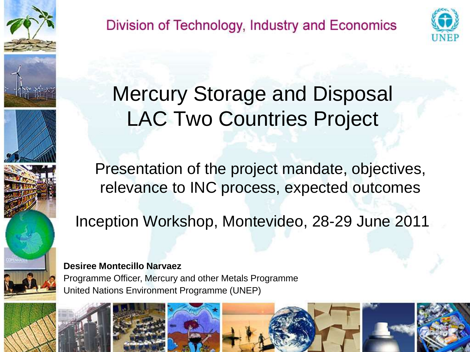

Division of Technology, Industry and Economics



### Mercury Storage and Disposal LAC Two Countries Project

Presentation of the project mandate, objectives, relevance to INC process, expected outcomes

Inception Workshop, Montevideo, 28-29 June 2011

**Desiree Montecillo Narvaez** Programme Officer, Mercury and other Metals Programme United Nations Environment Programme (UNEP)

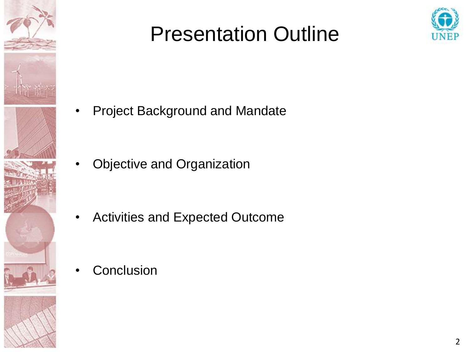

#### Presentation Outline



Project Background and Mandate

• Objective and Organization

• Activities and Expected Outcome

**Conclusion**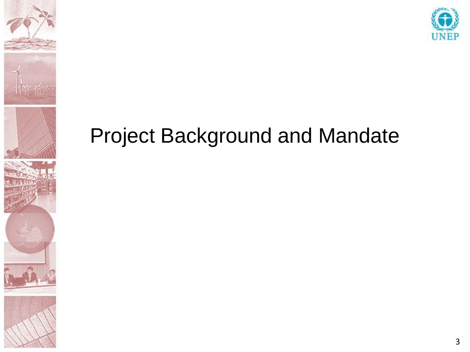



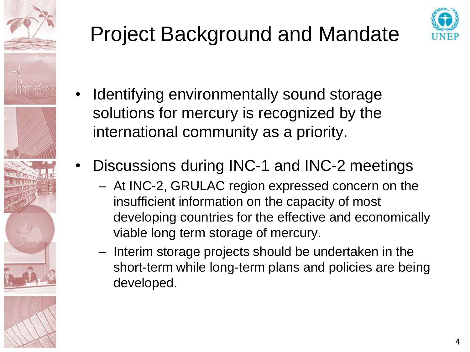



- Identifying environmentally sound storage solutions for mercury is recognized by the international community as a priority.
- Discussions during INC-1 and INC-2 meetings
	- At INC-2, GRULAC region expressed concern on the insufficient information on the capacity of most developing countries for the effective and economically viable long term storage of mercury.
	- Interim storage projects should be undertaken in the short-term while long-term plans and policies are being developed.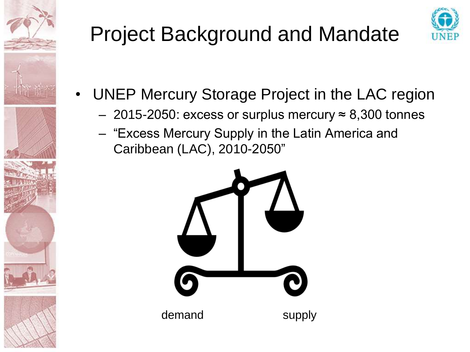



- UNEP Mercury Storage Project in the LAC region
	- 2015-2050: excess or surplus mercury  $\approx$  8,300 tonnes
	- "Excess Mercury Supply in the Latin America and Caribbean (LAC), 2010-2050"

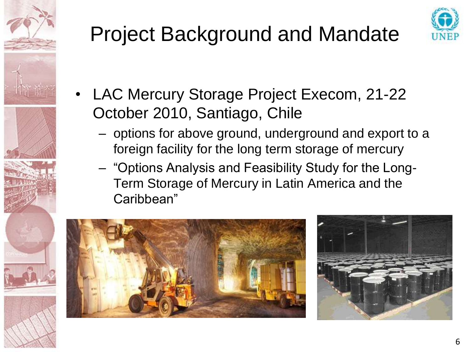



- LAC Mercury Storage Project Execom, 21-22 October 2010, Santiago, Chile
	- options for above ground, underground and export to a foreign facility for the long term storage of mercury
	- "Options Analysis and Feasibility Study for the Long-Term Storage of Mercury in Latin America and the Caribbean"



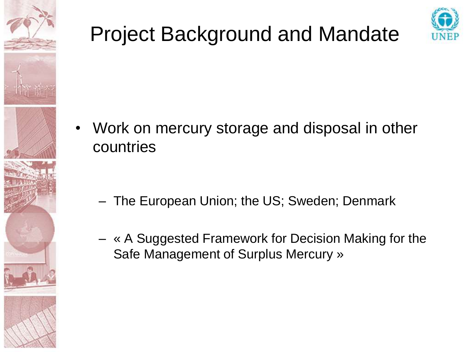



- Work on mercury storage and disposal in other countries
	- The European Union; the US; Sweden; Denmark
	- « A Suggested Framework for Decision Making for the Safe Management of Surplus Mercury »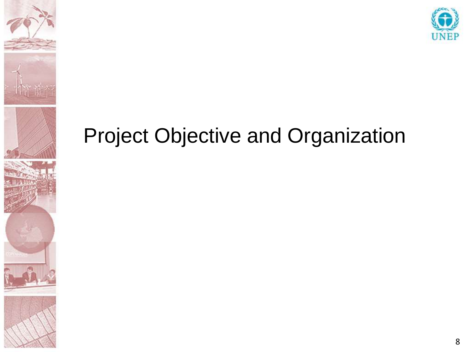





#### Project Objective and Organization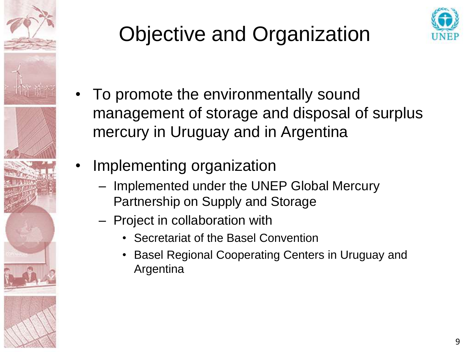

## Objective and Organization



- To promote the environmentally sound management of storage and disposal of surplus mercury in Uruguay and in Argentina
- Implementing organization
	- Implemented under the UNEP Global Mercury Partnership on Supply and Storage
	- Project in collaboration with
		- Secretariat of the Basel Convention
		- Basel Regional Cooperating Centers in Uruguay and Argentina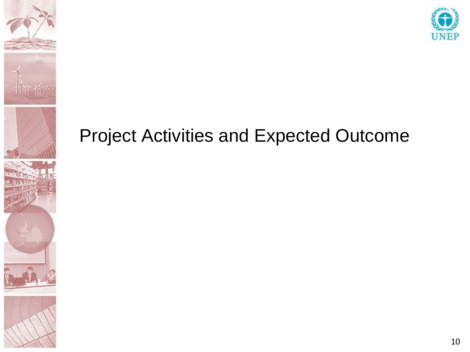





#### Project Activities and Expected Outcome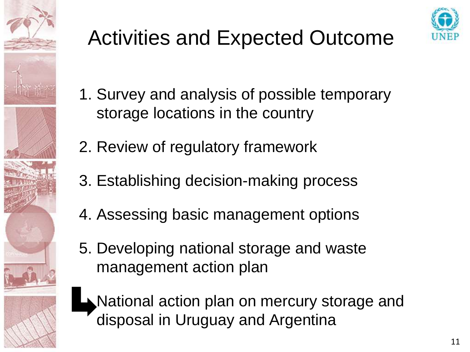

# Activities and Expected Outcome



- 1. Survey and analysis of possible temporary storage locations in the country
- 2. Review of regulatory framework
- 3. Establishing decision-making process
- 4. Assessing basic management options
- 5. Developing national storage and waste management action plan



National action plan on mercury storage and disposal in Uruguay and Argentina